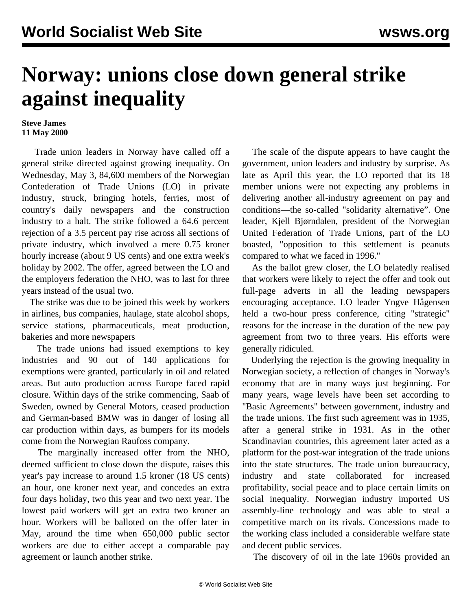## **Norway: unions close down general strike against inequality**

## **Steve James 11 May 2000**

 Trade union leaders in Norway have called off a general strike directed against growing inequality. On Wednesday, May 3, 84,600 members of the Norwegian Confederation of Trade Unions (LO) in private industry, struck, bringing hotels, ferries, most of country's daily newspapers and the construction industry to a halt. The strike followed a 64.6 percent rejection of a 3.5 percent pay rise across all sections of private industry, which involved a mere 0.75 kroner hourly increase (about 9 US cents) and one extra week's holiday by 2002. The offer, agreed between the LO and the employers federation the NHO, was to last for three years instead of the usual two.

 The strike was due to be joined this week by workers in airlines, bus companies, haulage, state alcohol shops, service stations, pharmaceuticals, meat production, bakeries and more newspapers

 The trade unions had issued exemptions to key industries and 90 out of 140 applications for exemptions were granted, particularly in oil and related areas. But auto production across Europe faced rapid closure. Within days of the strike commencing, Saab of Sweden, owned by General Motors, ceased production and German-based BMW was in danger of losing all car production within days, as bumpers for its models come from the Norwegian Raufoss company.

 The marginally increased offer from the NHO, deemed sufficient to close down the dispute, raises this year's pay increase to around 1.5 kroner (18 US cents) an hour, one kroner next year, and concedes an extra four days holiday, two this year and two next year. The lowest paid workers will get an extra two kroner an hour. Workers will be balloted on the offer later in May, around the time when 650,000 public sector workers are due to either accept a comparable pay agreement or launch another strike.

 The scale of the dispute appears to have caught the government, union leaders and industry by surprise. As late as April this year, the LO reported that its 18 member unions were not expecting any problems in delivering another all-industry agreement on pay and conditions—the so-called "solidarity alternative". One leader, Kjell Bjørndalen, president of the Norwegian United Federation of Trade Unions, part of the LO boasted, "opposition to this settlement is peanuts compared to what we faced in 1996."

 As the ballot grew closer, the LO belatedly realised that workers were likely to reject the offer and took out full-page adverts in all the leading newspapers encouraging acceptance. LO leader Yngve Hågensen held a two-hour press conference, citing "strategic" reasons for the increase in the duration of the new pay agreement from two to three years. His efforts were generally ridiculed.

 Underlying the rejection is the growing inequality in Norwegian society, a reflection of changes in Norway's economy that are in many ways just beginning. For many years, wage levels have been set according to "Basic Agreements" between government, industry and the trade unions. The first such agreement was in 1935, after a general strike in 1931. As in the other Scandinavian countries, this agreement later acted as a platform for the post-war integration of the trade unions into the state structures. The trade union bureaucracy, industry and state collaborated for increased profitability, social peace and to place certain limits on social inequality. Norwegian industry imported US assembly-line technology and was able to steal a competitive march on its rivals. Concessions made to the working class included a considerable welfare state and decent public services.

The discovery of oil in the late 1960s provided an